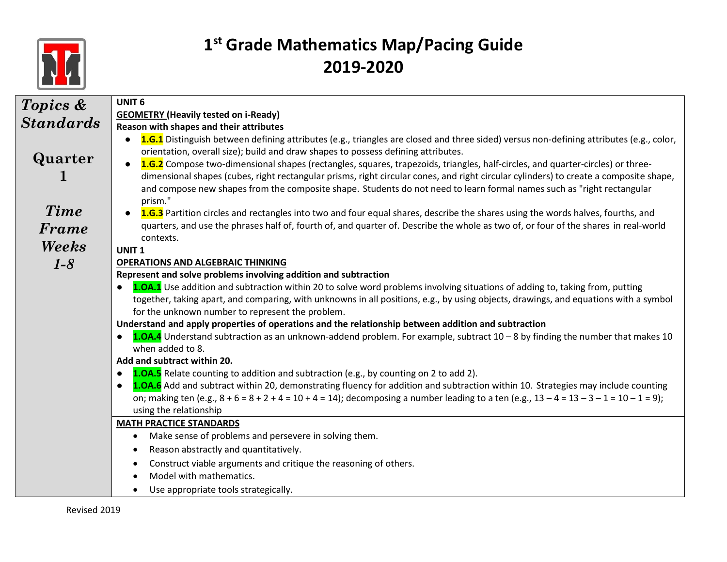

| Topics &         | UNIT <sub>6</sub>                                                                                                                                                                                                                                                                                                                                              |
|------------------|----------------------------------------------------------------------------------------------------------------------------------------------------------------------------------------------------------------------------------------------------------------------------------------------------------------------------------------------------------------|
|                  | <b>GEOMETRY (Heavily tested on i-Ready)</b>                                                                                                                                                                                                                                                                                                                    |
| <b>Standards</b> | Reason with shapes and their attributes                                                                                                                                                                                                                                                                                                                        |
| Quarter          | 1.G.1 Distinguish between defining attributes (e.g., triangles are closed and three sided) versus non-defining attributes (e.g., color,<br>orientation, overall size); build and draw shapes to possess defining attributes.<br>1.G.2 Compose two-dimensional shapes (rectangles, squares, trapezoids, triangles, half-circles, and quarter-circles) or three- |
|                  | dimensional shapes (cubes, right rectangular prisms, right circular cones, and right circular cylinders) to create a composite shape,<br>and compose new shapes from the composite shape. Students do not need to learn formal names such as "right rectangular<br>prism."                                                                                     |
| <b>Time</b>      | 1.G.3 Partition circles and rectangles into two and four equal shares, describe the shares using the words halves, fourths, and                                                                                                                                                                                                                                |
| Frame            | quarters, and use the phrases half of, fourth of, and quarter of. Describe the whole as two of, or four of the shares in real-world                                                                                                                                                                                                                            |
|                  | contexts.                                                                                                                                                                                                                                                                                                                                                      |
| Weeks            | UNIT <sub>1</sub>                                                                                                                                                                                                                                                                                                                                              |
| $1 - 8$          | <b>OPERATIONS AND ALGEBRAIC THINKING</b>                                                                                                                                                                                                                                                                                                                       |
|                  | Represent and solve problems involving addition and subtraction                                                                                                                                                                                                                                                                                                |
|                  | 1.0A.1 Use addition and subtraction within 20 to solve word problems involving situations of adding to, taking from, putting                                                                                                                                                                                                                                   |
|                  | together, taking apart, and comparing, with unknowns in all positions, e.g., by using objects, drawings, and equations with a symbol<br>for the unknown number to represent the problem.                                                                                                                                                                       |
|                  | Understand and apply properties of operations and the relationship between addition and subtraction                                                                                                                                                                                                                                                            |
|                  | 1.0A.4 Understand subtraction as an unknown-addend problem. For example, subtract 10 - 8 by finding the number that makes 10<br>when added to 8.                                                                                                                                                                                                               |
|                  | Add and subtract within 20.                                                                                                                                                                                                                                                                                                                                    |
|                  | 1.0A.5 Relate counting to addition and subtraction (e.g., by counting on 2 to add 2).<br>$\bullet$                                                                                                                                                                                                                                                             |
|                  | 1.0A.6 Add and subtract within 20, demonstrating fluency for addition and subtraction within 10. Strategies may include counting                                                                                                                                                                                                                               |
|                  | on; making ten (e.g., $8 + 6 = 8 + 2 + 4 = 10 + 4 = 14$ ); decomposing a number leading to a ten (e.g., $13 - 4 = 13 - 3 - 1 = 10 - 1 = 9$ );                                                                                                                                                                                                                  |
|                  | using the relationship                                                                                                                                                                                                                                                                                                                                         |
|                  | <b>MATH PRACTICE STANDARDS</b>                                                                                                                                                                                                                                                                                                                                 |
|                  | Make sense of problems and persevere in solving them.<br>$\bullet$                                                                                                                                                                                                                                                                                             |
|                  | Reason abstractly and quantitatively.<br>٠                                                                                                                                                                                                                                                                                                                     |
|                  | Construct viable arguments and critique the reasoning of others.                                                                                                                                                                                                                                                                                               |
|                  | Model with mathematics.                                                                                                                                                                                                                                                                                                                                        |
|                  | Use appropriate tools strategically.                                                                                                                                                                                                                                                                                                                           |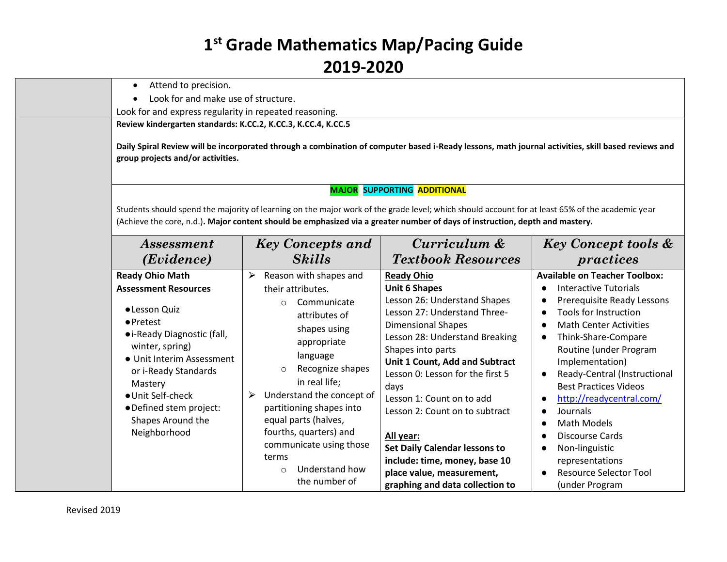- Attend to precision.
- Look for and make use of structure.

Look for and express regularity in repeated reasoning.

**Review kindergarten standards: K.CC.2, K.CC.3, K.CC.4, K.CC.5**

**Daily Spiral Review will be incorporated through a combination of computer based i-Ready lessons, math journal activities, skill based reviews and group projects and/or activities.**

#### **MAJOR SUPPORTING ADDITIONAL**

Students should spend the majority of learning on the major work of the grade level; which should account for at least 65% of the academic year (Achieve the core, n.d.)**. Major content should be emphasized via a greater number of days of instruction, depth and mastery.**

| <i>Assessment</i><br>(Evidence)                                                                                                                                                                                                                                                                    | <b>Key Concepts and</b><br><b>Skills</b>                                                                                                                                                                                                                                                                                                   | Curriculum &<br><b>Textbook Resources</b>                                                                                                                                                                                                                                                                                                                                                                                        | <b>Key Concept tools &amp;</b><br>practices                                                                                                                                                                                                                                                                                                                                                                     |
|----------------------------------------------------------------------------------------------------------------------------------------------------------------------------------------------------------------------------------------------------------------------------------------------------|--------------------------------------------------------------------------------------------------------------------------------------------------------------------------------------------------------------------------------------------------------------------------------------------------------------------------------------------|----------------------------------------------------------------------------------------------------------------------------------------------------------------------------------------------------------------------------------------------------------------------------------------------------------------------------------------------------------------------------------------------------------------------------------|-----------------------------------------------------------------------------------------------------------------------------------------------------------------------------------------------------------------------------------------------------------------------------------------------------------------------------------------------------------------------------------------------------------------|
| <b>Ready Ohio Math</b><br><b>Assessment Resources</b><br>• Lesson Quiz<br>$\bullet$ Pretest<br>• i-Ready Diagnostic (fall,<br>winter, spring)<br>• Unit Interim Assessment<br>or i-Ready Standards<br>Mastery<br>● Unit Self-check<br>· Defined stem project:<br>Shapes Around the<br>Neighborhood | Reason with shapes and<br>➤<br>their attributes.<br>Communicate<br>$\circ$<br>attributes of<br>shapes using<br>appropriate<br>language<br>Recognize shapes<br>$\circ$<br>in real life;<br>Understand the concept of<br>➤<br>partitioning shapes into<br>equal parts (halves,<br>fourths, quarters) and<br>communicate using those<br>terms | <b>Ready Ohio</b><br><b>Unit 6 Shapes</b><br>Lesson 26: Understand Shapes<br>Lesson 27: Understand Three-<br><b>Dimensional Shapes</b><br>Lesson 28: Understand Breaking<br>Shapes into parts<br>Unit 1 Count, Add and Subtract<br>Lesson 0: Lesson for the first 5<br>days<br>Lesson 1: Count on to add<br>Lesson 2: Count on to subtract<br>All year:<br><b>Set Daily Calendar lessons to</b><br>include: time, money, base 10 | <b>Available on Teacher Toolbox:</b><br>Interactive Tutorials<br>Prerequisite Ready Lessons<br>Tools for Instruction<br><b>Math Center Activities</b><br>Think-Share-Compare<br>Routine (under Program<br>Implementation)<br>Ready-Central (Instructional<br><b>Best Practices Videos</b><br>http://readycentral.com/<br>Journals<br>Math Models<br><b>Discourse Cards</b><br>Non-linguistic<br>representations |
|                                                                                                                                                                                                                                                                                                    | Understand how<br>$\circ$<br>the number of                                                                                                                                                                                                                                                                                                 | place value, measurement,<br>graphing and data collection to                                                                                                                                                                                                                                                                                                                                                                     | <b>Resource Selector Tool</b><br>(under Program                                                                                                                                                                                                                                                                                                                                                                 |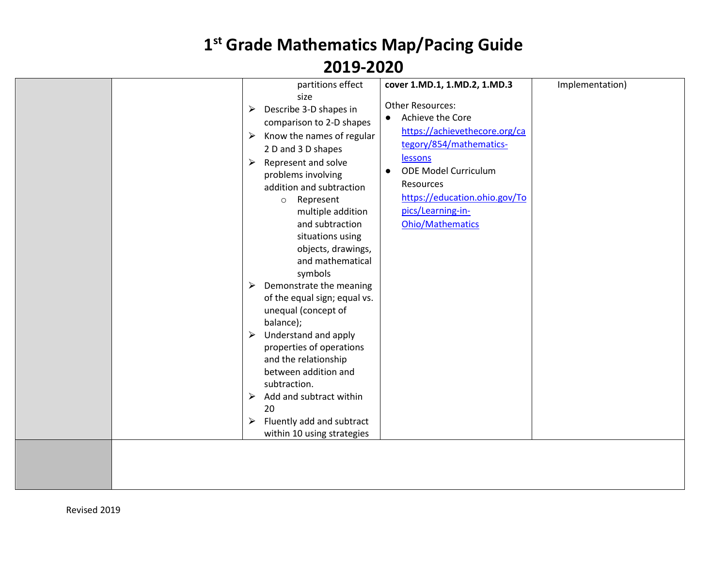| partitions effect<br>size<br>Describe 3-D shapes in<br>➤<br>comparison to 2-D shapes<br>Know the names of regular<br>➤<br>2 D and 3 D shapes<br>Represent and solve<br>$\blacktriangleright$<br>problems involving<br>addition and subtraction<br>Represent<br>$\circ$<br>multiple addition<br>and subtraction<br>situations using<br>objects, drawings,<br>and mathematical<br>symbols<br>Demonstrate the meaning<br>➤<br>of the equal sign; equal vs.<br>unequal (concept of<br>balance);<br>Understand and apply<br>$\blacktriangleright$<br>properties of operations<br>and the relationship<br>between addition and<br>subtraction.<br>Add and subtract within<br>➤<br>20<br>Fluently add and subtract<br>➤<br>within 10 using strategies | cover 1.MD.1, 1.MD.2, 1.MD.3<br>Other Resources:<br>Achieve the Core<br>$\bullet$<br>https://achievethecore.org/ca<br>tegory/854/mathematics-<br>lessons<br><b>ODE Model Curriculum</b><br>$\bullet$<br>Resources<br>https://education.ohio.gov/To<br>pics/Learning-in-<br><b>Ohio/Mathematics</b> | Implementation) |
|------------------------------------------------------------------------------------------------------------------------------------------------------------------------------------------------------------------------------------------------------------------------------------------------------------------------------------------------------------------------------------------------------------------------------------------------------------------------------------------------------------------------------------------------------------------------------------------------------------------------------------------------------------------------------------------------------------------------------------------------|----------------------------------------------------------------------------------------------------------------------------------------------------------------------------------------------------------------------------------------------------------------------------------------------------|-----------------|
|                                                                                                                                                                                                                                                                                                                                                                                                                                                                                                                                                                                                                                                                                                                                                |                                                                                                                                                                                                                                                                                                    |                 |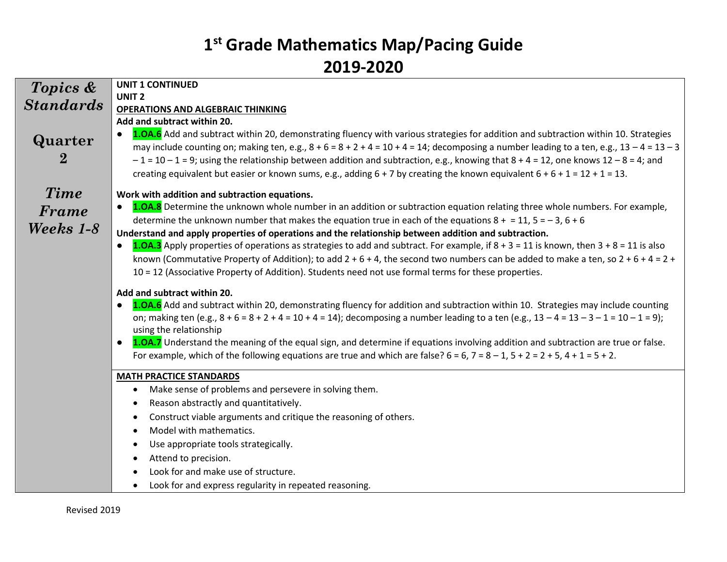|                     | <b>UNIT 1 CONTINUED</b>                                                                                                                                                                                                                                                                                                                                                                                                                                                                                                                                                                                                                 |
|---------------------|-----------------------------------------------------------------------------------------------------------------------------------------------------------------------------------------------------------------------------------------------------------------------------------------------------------------------------------------------------------------------------------------------------------------------------------------------------------------------------------------------------------------------------------------------------------------------------------------------------------------------------------------|
| Topics &            | <b>UNIT 2</b>                                                                                                                                                                                                                                                                                                                                                                                                                                                                                                                                                                                                                           |
| <b>Standards</b>    | <b>OPERATIONS AND ALGEBRAIC THINKING</b>                                                                                                                                                                                                                                                                                                                                                                                                                                                                                                                                                                                                |
|                     | Add and subtract within 20.                                                                                                                                                                                                                                                                                                                                                                                                                                                                                                                                                                                                             |
| Quarter<br>$\bf{2}$ | 1.0A.6 Add and subtract within 20, demonstrating fluency with various strategies for addition and subtraction within 10. Strategies<br>may include counting on; making ten, e.g., $8 + 6 = 8 + 2 + 4 = 10 + 4 = 14$ ; decomposing a number leading to a ten, e.g., $13 - 4 = 13 - 3$<br>$-1$ = 10 - 1 = 9; using the relationship between addition and subtraction, e.g., knowing that 8 + 4 = 12, one knows 12 - 8 = 4; and<br>creating equivalent but easier or known sums, e.g., adding $6 + 7$ by creating the known equivalent $6 + 6 + 1 = 12 + 1 = 13$ .                                                                         |
| <b>Time</b>         | Work with addition and subtraction equations.                                                                                                                                                                                                                                                                                                                                                                                                                                                                                                                                                                                           |
| Frame<br>Weeks 1-8  | 1.0A.8 Determine the unknown whole number in an addition or subtraction equation relating three whole numbers. For example,<br>determine the unknown number that makes the equation true in each of the equations $8 + 11$ , $5 = -3$ , $6 + 6$                                                                                                                                                                                                                                                                                                                                                                                         |
|                     | Understand and apply properties of operations and the relationship between addition and subtraction.<br><b>1.0A.3</b> Apply properties of operations as strategies to add and subtract. For example, if $8 + 3 = 11$ is known, then $3 + 8 = 11$ is also<br>known (Commutative Property of Addition); to add $2 + 6 + 4$ , the second two numbers can be added to make a ten, so $2 + 6 + 4 = 2 +$<br>10 = 12 (Associative Property of Addition). Students need not use formal terms for these properties.                                                                                                                              |
|                     | Add and subtract within 20.<br>1.0A.6 Add and subtract within 20, demonstrating fluency for addition and subtraction within 10. Strategies may include counting<br>on; making ten (e.g., $8 + 6 = 8 + 2 + 4 = 10 + 4 = 14$ ); decomposing a number leading to a ten (e.g., $13 - 4 = 13 - 3 - 1 = 10 - 1 = 9$ );<br>using the relationship<br>1.0A.7 Understand the meaning of the equal sign, and determine if equations involving addition and subtraction are true or false.<br>$\bullet$<br>For example, which of the following equations are true and which are false? $6 = 6$ , $7 = 8 - 1$ , $5 + 2 = 2 + 5$ , $4 + 1 = 5 + 2$ . |
|                     | <b>MATH PRACTICE STANDARDS</b>                                                                                                                                                                                                                                                                                                                                                                                                                                                                                                                                                                                                          |
|                     | Make sense of problems and persevere in solving them.<br>$\bullet$                                                                                                                                                                                                                                                                                                                                                                                                                                                                                                                                                                      |
|                     | Reason abstractly and quantitatively.<br>٠                                                                                                                                                                                                                                                                                                                                                                                                                                                                                                                                                                                              |
|                     | Construct viable arguments and critique the reasoning of others.<br>$\bullet$                                                                                                                                                                                                                                                                                                                                                                                                                                                                                                                                                           |
|                     | Model with mathematics.<br>$\bullet$                                                                                                                                                                                                                                                                                                                                                                                                                                                                                                                                                                                                    |
|                     | Use appropriate tools strategically.                                                                                                                                                                                                                                                                                                                                                                                                                                                                                                                                                                                                    |
|                     | Attend to precision.<br>٠                                                                                                                                                                                                                                                                                                                                                                                                                                                                                                                                                                                                               |
|                     | Look for and make use of structure.                                                                                                                                                                                                                                                                                                                                                                                                                                                                                                                                                                                                     |
|                     | Look for and express regularity in repeated reasoning.<br>$\bullet$                                                                                                                                                                                                                                                                                                                                                                                                                                                                                                                                                                     |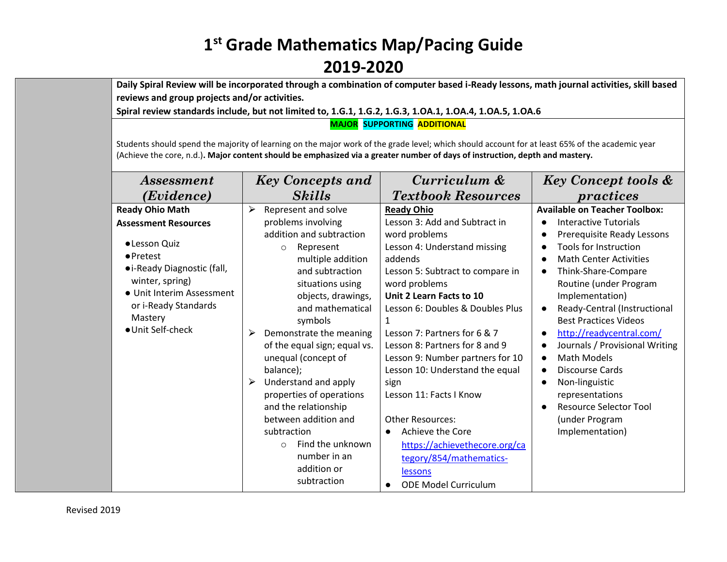**Daily Spiral Review will be incorporated through a combination of computer based i-Ready lessons, math journal activities, skill based reviews and group projects and/or activities.** 

**Spiral review standards include, but not limited to, 1.G.1, 1.G.2, 1.G.3, 1.OA.1, 1.OA.4, 1.OA.5, 1.OA.6**

**MAJOR SUPPORTING ADDITIONAL**

Students should spend the majority of learning on the major work of the grade level; which should account for at least 65% of the academic year (Achieve the core, n.d.)**. Major content should be emphasized via a greater number of days of instruction, depth and mastery.**

| <i>Assessment</i>                                                                                                                                                                                                                  | <b>Key Concepts and</b>                                                                                                                                                                                                                                                                                                                                                          | Curriculum &                                                                                                                                                                                                                                                                                                                                                                                                    | <b>Key Concept tools &amp;</b>                                                                                                                                                                                                                                                                                                                                                                                                               |  |
|------------------------------------------------------------------------------------------------------------------------------------------------------------------------------------------------------------------------------------|----------------------------------------------------------------------------------------------------------------------------------------------------------------------------------------------------------------------------------------------------------------------------------------------------------------------------------------------------------------------------------|-----------------------------------------------------------------------------------------------------------------------------------------------------------------------------------------------------------------------------------------------------------------------------------------------------------------------------------------------------------------------------------------------------------------|----------------------------------------------------------------------------------------------------------------------------------------------------------------------------------------------------------------------------------------------------------------------------------------------------------------------------------------------------------------------------------------------------------------------------------------------|--|
| (Evidence)                                                                                                                                                                                                                         | <b>Skills</b>                                                                                                                                                                                                                                                                                                                                                                    | <b>Textbook Resources</b>                                                                                                                                                                                                                                                                                                                                                                                       | practices                                                                                                                                                                                                                                                                                                                                                                                                                                    |  |
| <b>Ready Ohio Math</b><br><b>Assessment Resources</b><br>· Lesson Quiz<br>$\bullet$ Pretest<br>• i-Ready Diagnostic (fall,<br>winter, spring)<br>• Unit Interim Assessment<br>or i-Ready Standards<br>Mastery<br>● Unit Self-check | Represent and solve<br>⋗<br>problems involving<br>addition and subtraction<br>Represent<br>$\circ$<br>multiple addition<br>and subtraction<br>situations using<br>objects, drawings,<br>and mathematical<br>symbols<br>Demonstrate the meaning<br>➤<br>of the equal sign; equal vs.<br>unequal (concept of<br>balance);<br>Understand and apply<br>➤<br>properties of operations | <b>Ready Ohio</b><br>Lesson 3: Add and Subtract in<br>word problems<br>Lesson 4: Understand missing<br>addends<br>Lesson 5: Subtract to compare in<br>word problems<br>Unit 2 Learn Facts to 10<br>Lesson 6: Doubles & Doubles Plus<br>Lesson 7: Partners for 6 & 7<br>Lesson 8: Partners for 8 and 9<br>Lesson 9: Number partners for 10<br>Lesson 10: Understand the equal<br>sign<br>Lesson 11: Facts I Know | <b>Available on Teacher Toolbox:</b><br>Interactive Tutorials<br>Prerequisite Ready Lessons<br>Tools for Instruction<br><b>Math Center Activities</b><br>Think-Share-Compare<br>Routine (under Program<br>Implementation)<br>Ready-Central (Instructional<br><b>Best Practices Videos</b><br>http://readycentral.com/<br>Journals / Provisional Writing<br><b>Math Models</b><br><b>Discourse Cards</b><br>Non-linguistic<br>representations |  |
|                                                                                                                                                                                                                                    | and the relationship<br>between addition and<br>subtraction<br>Find the unknown<br>$\Omega$<br>number in an                                                                                                                                                                                                                                                                      | <b>Other Resources:</b><br>Achieve the Core<br>$\bullet$<br>https://achievethecore.org/ca                                                                                                                                                                                                                                                                                                                       | <b>Resource Selector Tool</b><br>(under Program<br>Implementation)                                                                                                                                                                                                                                                                                                                                                                           |  |
|                                                                                                                                                                                                                                    | addition or<br>subtraction                                                                                                                                                                                                                                                                                                                                                       | tegory/854/mathematics-<br>lessons<br><b>ODE Model Curriculum</b>                                                                                                                                                                                                                                                                                                                                               |                                                                                                                                                                                                                                                                                                                                                                                                                                              |  |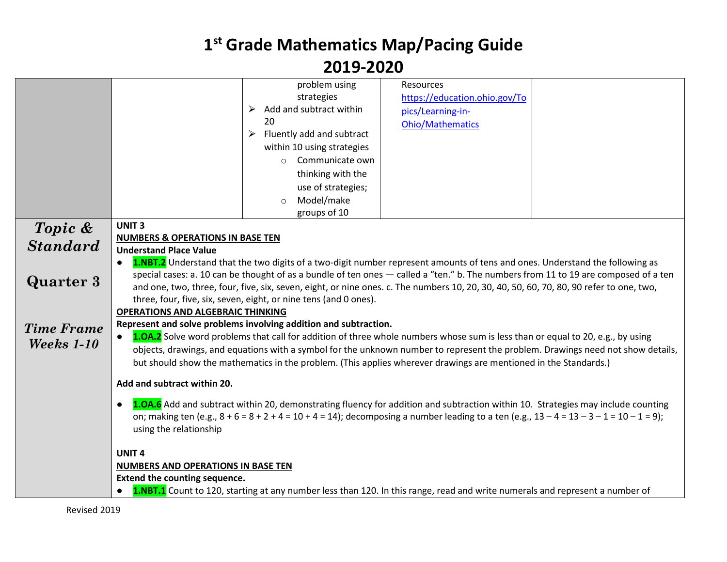|                   |                                                                                                                                               | problem using                              | Resources                                                                                                                           |  |
|-------------------|-----------------------------------------------------------------------------------------------------------------------------------------------|--------------------------------------------|-------------------------------------------------------------------------------------------------------------------------------------|--|
|                   |                                                                                                                                               | strategies                                 | https://education.ohio.gov/To                                                                                                       |  |
|                   |                                                                                                                                               | Add and subtract within<br>➤               | pics/Learning-in-                                                                                                                   |  |
|                   |                                                                                                                                               | 20                                         | <b>Ohio/Mathematics</b>                                                                                                             |  |
|                   |                                                                                                                                               | $\triangleright$ Fluently add and subtract |                                                                                                                                     |  |
|                   |                                                                                                                                               | within 10 using strategies                 |                                                                                                                                     |  |
|                   |                                                                                                                                               | Communicate own<br>$\bigcirc$              |                                                                                                                                     |  |
|                   |                                                                                                                                               | thinking with the                          |                                                                                                                                     |  |
|                   |                                                                                                                                               | use of strategies;                         |                                                                                                                                     |  |
|                   |                                                                                                                                               | Model/make<br>$\circ$                      |                                                                                                                                     |  |
|                   |                                                                                                                                               | groups of 10                               |                                                                                                                                     |  |
| Topic &           | <b>UNIT3</b>                                                                                                                                  |                                            |                                                                                                                                     |  |
|                   | NUMBERS & OPERATIONS IN BASE TEN                                                                                                              |                                            |                                                                                                                                     |  |
| <b>Standard</b>   | <b>Understand Place Value</b>                                                                                                                 |                                            |                                                                                                                                     |  |
|                   | 1.NBT.2 Understand that the two digits of a two-digit number represent amounts of tens and ones. Understand the following as<br>$\bullet$     |                                            |                                                                                                                                     |  |
|                   |                                                                                                                                               |                                            | special cases: a. 10 can be thought of as a bundle of ten ones - called a "ten." b. The numbers from 11 to 19 are composed of a ten |  |
| <b>Quarter 3</b>  | and one, two, three, four, five, six, seven, eight, or nine ones. c. The numbers 10, 20, 30, 40, 50, 60, 70, 80, 90 refer to one, two,        |                                            |                                                                                                                                     |  |
|                   | three, four, five, six, seven, eight, or nine tens (and 0 ones).                                                                              |                                            |                                                                                                                                     |  |
|                   | <b>OPERATIONS AND ALGEBRAIC THINKING</b>                                                                                                      |                                            |                                                                                                                                     |  |
| <b>Time Frame</b> | Represent and solve problems involving addition and subtraction.                                                                              |                                            |                                                                                                                                     |  |
| Weeks 1-10        | 1.0A.2 Solve word problems that call for addition of three whole numbers whose sum is less than or equal to 20, e.g., by using                |                                            |                                                                                                                                     |  |
|                   | objects, drawings, and equations with a symbol for the unknown number to represent the problem. Drawings need not show details,               |                                            |                                                                                                                                     |  |
|                   |                                                                                                                                               |                                            | but should show the mathematics in the problem. (This applies wherever drawings are mentioned in the Standards.)                    |  |
|                   | Add and subtract within 20.                                                                                                                   |                                            |                                                                                                                                     |  |
|                   |                                                                                                                                               |                                            |                                                                                                                                     |  |
|                   | $\bullet$                                                                                                                                     |                                            | 1.0A.6 Add and subtract within 20, demonstrating fluency for addition and subtraction within 10. Strategies may include counting    |  |
|                   | on; making ten (e.g., $8 + 6 = 8 + 2 + 4 = 10 + 4 = 14$ ); decomposing a number leading to a ten (e.g., $13 - 4 = 13 - 3 - 1 = 10 - 1 = 9$ ); |                                            |                                                                                                                                     |  |
|                   | using the relationship                                                                                                                        |                                            |                                                                                                                                     |  |
|                   |                                                                                                                                               |                                            |                                                                                                                                     |  |
|                   | <b>UNIT4</b>                                                                                                                                  |                                            |                                                                                                                                     |  |
|                   | <b>NUMBERS AND OPERATIONS IN BASE TEN</b>                                                                                                     |                                            |                                                                                                                                     |  |
|                   | Extend the counting sequence.                                                                                                                 |                                            |                                                                                                                                     |  |
|                   | $\bullet$                                                                                                                                     |                                            | 1.NBT.1 Count to 120, starting at any number less than 120. In this range, read and write numerals and represent a number of        |  |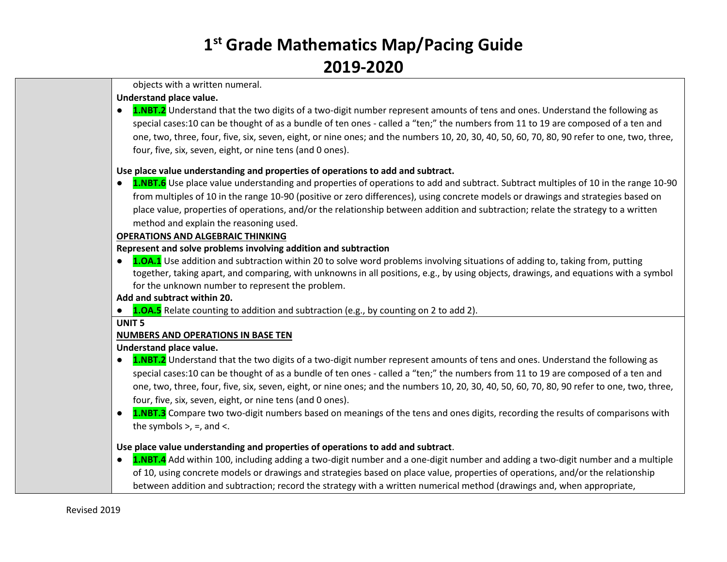objects with a written numeral.

#### **Understand place value.**

**1.NBT.2** Understand that the two digits of a two-digit number represent amounts of tens and ones. Understand the following as special cases:10 can be thought of as a bundle of ten ones - called a "ten;" the numbers from 11 to 19 are composed of a ten and one, two, three, four, five, six, seven, eight, or nine ones; and the numbers 10, 20, 30, 40, 50, 60, 70, 80, 90 refer to one, two, three, four, five, six, seven, eight, or nine tens (and 0 ones).

### **Use place value understanding and properties of operations to add and subtract.**

**1.NBT.6** Use place value understanding and properties of operations to add and subtract. Subtract multiples of 10 in the range 10-90 from multiples of 10 in the range 10-90 (positive or zero differences), using concrete models or drawings and strategies based on place value, properties of operations, and/or the relationship between addition and subtraction; relate the strategy to a written method and explain the reasoning used.

### **OPERATIONS AND ALGEBRAIC THINKING**

#### **Represent and solve problems involving addition and subtraction**

● **1.OA.1** Use addition and subtraction within 20 to solve word problems involving situations of adding to, taking from, putting together, taking apart, and comparing, with unknowns in all positions, e.g., by using objects, drawings, and equations with a symbol for the unknown number to represent the problem.

#### **Add and subtract within 20.**

● **1.OA.5** Relate counting to addition and subtraction (e.g., by [counting on](about:blank) 2 to add 2).

#### **UNIT 5**

### **NUMBERS AND OPERATIONS IN BASE TEN**

#### **Understand place value.**

- **1.NBT.2** Understand that the two digits of a two-digit number represent amounts of tens and ones. Understand the following as special cases:10 can be thought of as a bundle of ten ones - called a "ten;" the numbers from 11 to 19 are composed of a ten and one, two, three, four, five, six, seven, eight, or nine ones; and the numbers 10, 20, 30, 40, 50, 60, 70, 80, 90 refer to one, two, three, four, five, six, seven, eight, or nine tens (and 0 ones).
- **1.NBT.3** Compare two two-digit numbers based on meanings of the tens and ones digits, recording the results of comparisons with the symbols  $>$ ,  $=$ , and  $\lt$ .

### **Use place value understanding and properties of operations to add and subtract**.

**1.NBT.4** Add within 100, including adding a two-digit number and a one-digit number and adding a two-digit number and a multiple of 10, using concrete models or drawings and strategies based on place value, properties of operations, and/or the relationship between addition and subtraction; record the strategy with a written numerical method (drawings and, when appropriate,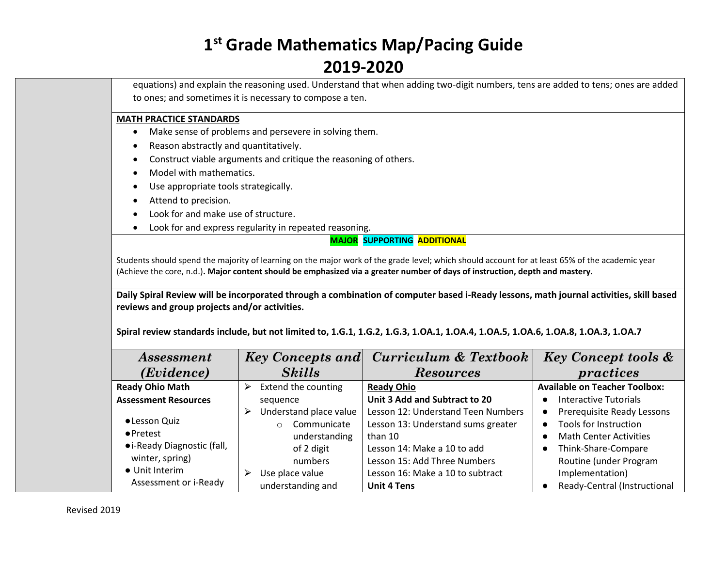equations) and explain the reasoning used. Understand that when adding two-digit numbers, tens are added to tens; ones are added to ones; and sometimes it is necessary to compose a ten.

#### **MATH PRACTICE STANDARDS**

- Make sense of problems and persevere in solving them.
- Reason abstractly and quantitatively.
- Construct viable arguments and critique the reasoning of others.
- Model with mathematics.
- Use appropriate tools strategically.
- Attend to precision.
- Look for and make use of structure.
- Look for and express regularity in repeated reasoning.

#### **MAJOR SUPPORTING ADDITIONAL**

Students should spend the majority of learning on the major work of the grade level; which should account for at least 65% of the academic year (Achieve the core, n.d.)**. Major content should be emphasized via a greater number of days of instruction, depth and mastery.**

**Daily Spiral Review will be incorporated through a combination of computer based i-Ready lessons, math journal activities, skill based reviews and group projects and/or activities.** 

**Spiral review standards include, but not limited to, 1.G.1, 1.G.2, 1.G.3, 1.OA.1, 1.OA.4, 1.OA.5, 1.OA.6, 1.OA.8, 1.OA.3, 1.OA.7**

| <i>Assessment</i>           | Key Concepts and Curriculum & Textbook                       | <b>Key Concept tools &amp;</b>       |
|-----------------------------|--------------------------------------------------------------|--------------------------------------|
| ( <i>Evidence</i> )         | <b>Skills</b><br><b>Resources</b>                            | practices                            |
| <b>Ready Ohio Math</b>      | Extend the counting<br><b>Ready Ohio</b>                     | <b>Available on Teacher Toolbox:</b> |
| <b>Assessment Resources</b> | Unit 3 Add and Subtract to 20<br>sequence                    | Interactive Tutorials                |
|                             | Understand place value<br>Lesson 12: Understand Teen Numbers | Prerequisite Ready Lessons           |
| · Lesson Quiz               | Lesson 13: Understand sums greater<br>Communicate            | Tools for Instruction<br>$\bullet$   |
| $\bullet$ Pretest           | understanding<br>than 10                                     | <b>Math Center Activities</b>        |
| • i-Ready Diagnostic (fall, | Lesson 14: Make a 10 to add<br>of 2 digit                    | Think-Share-Compare                  |
| winter, spring)             | Lesson 15: Add Three Numbers<br>numbers                      | Routine (under Program               |
| • Unit Interim              | Lesson 16: Make a 10 to subtract<br>Use place value          | Implementation)                      |
| Assessment or i-Ready       | understanding and<br><b>Unit 4 Tens</b>                      | Ready-Central (Instructional         |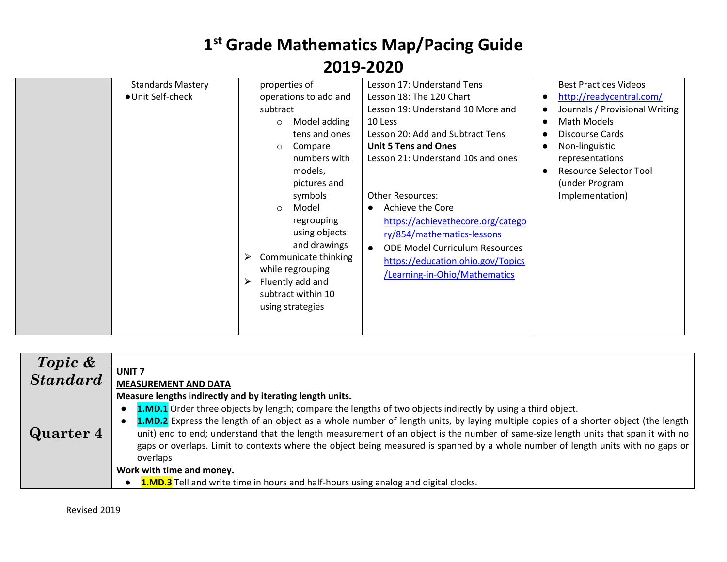| <b>Standards Mastery</b><br>· Unit Self-check | properties of<br>operations to add and<br>subtract<br>Model adding<br>$\circ$<br>tens and ones<br>Compare<br>$\circ$<br>numbers with<br>models,<br>pictures and<br>symbols<br>Model<br>$\circ$<br>regrouping<br>using objects<br>and drawings<br>Communicate thinking<br>➤<br>while regrouping<br>Fluently add and<br>➤<br>subtract within 10<br>using strategies | Lesson 17: Understand Tens<br>Lesson 18: The 120 Chart<br>Lesson 19: Understand 10 More and<br>10 Less<br>Lesson 20: Add and Subtract Tens<br><b>Unit 5 Tens and Ones</b><br>Lesson 21: Understand 10s and ones<br><b>Other Resources:</b><br>Achieve the Core<br>$\bullet$<br>https://achievethecore.org/catego<br>ry/854/mathematics-lessons<br><b>ODE Model Curriculum Resources</b><br>$\bullet$<br>https://education.ohio.gov/Topics<br>/Learning-in-Ohio/Mathematics | <b>Best Practices Videos</b><br>http://readycentral.com/<br>Journals / Provisional Writing<br>Math Models<br><b>Discourse Cards</b><br>Non-linguistic<br>representations<br><b>Resource Selector Tool</b><br>(under Program<br>Implementation) |
|-----------------------------------------------|-------------------------------------------------------------------------------------------------------------------------------------------------------------------------------------------------------------------------------------------------------------------------------------------------------------------------------------------------------------------|----------------------------------------------------------------------------------------------------------------------------------------------------------------------------------------------------------------------------------------------------------------------------------------------------------------------------------------------------------------------------------------------------------------------------------------------------------------------------|------------------------------------------------------------------------------------------------------------------------------------------------------------------------------------------------------------------------------------------------|
|-----------------------------------------------|-------------------------------------------------------------------------------------------------------------------------------------------------------------------------------------------------------------------------------------------------------------------------------------------------------------------------------------------------------------------|----------------------------------------------------------------------------------------------------------------------------------------------------------------------------------------------------------------------------------------------------------------------------------------------------------------------------------------------------------------------------------------------------------------------------------------------------------------------------|------------------------------------------------------------------------------------------------------------------------------------------------------------------------------------------------------------------------------------------------|

| Topic &<br>Standard |                                                                                                                                                  |
|---------------------|--------------------------------------------------------------------------------------------------------------------------------------------------|
|                     | UNIT <sub>7</sub>                                                                                                                                |
|                     | <b>MEASUREMENT AND DATA</b>                                                                                                                      |
|                     | Measure lengths indirectly and by iterating length units.                                                                                        |
|                     | <b>1.MD.1</b> Order three objects by length; compare the lengths of two objects indirectly by using a third object.<br>$\bullet$                 |
|                     | 1.MD.2 Express the length of an object as a whole number of length units, by laying multiple copies of a shorter object (the length<br>$\bullet$ |
| Quarter 4           | unit) end to end; understand that the length measurement of an object is the number of same-size length units that span it with no               |
|                     | gaps or overlaps. Limit to contexts where the object being measured is spanned by a whole number of length units with no gaps or                 |
|                     | overlaps                                                                                                                                         |
|                     | Work with time and money.                                                                                                                        |
|                     | <b>1.MD.3</b> Tell and write time in hours and half-hours using analog and digital clocks.                                                       |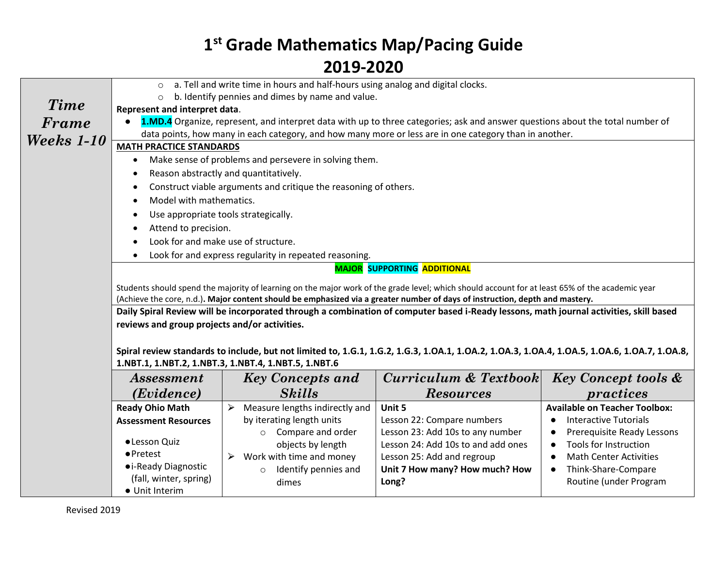|                   | $\circ$                                                                                                                                                                                                                                                                | a. Tell and write time in hours and half-hours using analog and digital clocks. |                                                                                                                                                 |                                  |  |  |
|-------------------|------------------------------------------------------------------------------------------------------------------------------------------------------------------------------------------------------------------------------------------------------------------------|---------------------------------------------------------------------------------|-------------------------------------------------------------------------------------------------------------------------------------------------|----------------------------------|--|--|
| <b>Time</b>       | $\Omega$                                                                                                                                                                                                                                                               | b. Identify pennies and dimes by name and value.                                |                                                                                                                                                 |                                  |  |  |
|                   | Represent and interpret data.                                                                                                                                                                                                                                          |                                                                                 |                                                                                                                                                 |                                  |  |  |
| Frame             | 1.MD.4 Organize, represent, and interpret data with up to three categories; ask and answer questions about the total number of                                                                                                                                         |                                                                                 |                                                                                                                                                 |                                  |  |  |
| <b>Weeks</b> 1-10 | data points, how many in each category, and how many more or less are in one category than in another.                                                                                                                                                                 |                                                                                 |                                                                                                                                                 |                                  |  |  |
|                   | <b>MATH PRACTICE STANDARDS</b>                                                                                                                                                                                                                                         |                                                                                 |                                                                                                                                                 |                                  |  |  |
|                   | $\bullet$                                                                                                                                                                                                                                                              | Make sense of problems and persevere in solving them.                           |                                                                                                                                                 |                                  |  |  |
|                   | $\bullet$                                                                                                                                                                                                                                                              | Reason abstractly and quantitatively.                                           |                                                                                                                                                 |                                  |  |  |
|                   | $\bullet$                                                                                                                                                                                                                                                              | Construct viable arguments and critique the reasoning of others.                |                                                                                                                                                 |                                  |  |  |
|                   | Model with mathematics.<br>$\bullet$                                                                                                                                                                                                                                   |                                                                                 |                                                                                                                                                 |                                  |  |  |
|                   | Use appropriate tools strategically.<br>$\bullet$                                                                                                                                                                                                                      |                                                                                 |                                                                                                                                                 |                                  |  |  |
|                   | Attend to precision.                                                                                                                                                                                                                                                   |                                                                                 |                                                                                                                                                 |                                  |  |  |
|                   |                                                                                                                                                                                                                                                                        | Look for and make use of structure.                                             |                                                                                                                                                 |                                  |  |  |
|                   |                                                                                                                                                                                                                                                                        | Look for and express regularity in repeated reasoning.                          |                                                                                                                                                 |                                  |  |  |
|                   |                                                                                                                                                                                                                                                                        |                                                                                 | <b>MAJOR SUPPORTING ADDITIONAL</b>                                                                                                              |                                  |  |  |
|                   |                                                                                                                                                                                                                                                                        |                                                                                 |                                                                                                                                                 |                                  |  |  |
|                   |                                                                                                                                                                                                                                                                        |                                                                                 | Students should spend the majority of learning on the major work of the grade level; which should account for at least 65% of the academic year |                                  |  |  |
|                   | (Achieve the core, n.d.). Major content should be emphasized via a greater number of days of instruction, depth and mastery.<br>Daily Spiral Review will be incorporated through a combination of computer based i-Ready lessons, math journal activities, skill based |                                                                                 |                                                                                                                                                 |                                  |  |  |
|                   | reviews and group projects and/or activities.                                                                                                                                                                                                                          |                                                                                 |                                                                                                                                                 |                                  |  |  |
|                   |                                                                                                                                                                                                                                                                        |                                                                                 |                                                                                                                                                 |                                  |  |  |
|                   |                                                                                                                                                                                                                                                                        |                                                                                 | Spiral review standards to include, but not limited to, 1.G.1, 1.G.2, 1.G.3, 1.OA.1, 1.OA.2, 1.OA.3, 1.OA.4, 1.OA.5, 1.OA.6, 1.OA.7, 1.OA.8,    |                                  |  |  |
|                   |                                                                                                                                                                                                                                                                        | 1.NBT.1, 1.NBT.2, 1.NBT.3, 1.NBT.4, 1.NBT.5, 1.NBT.6                            |                                                                                                                                                 |                                  |  |  |
|                   | Curriculum & Textbook<br><b>Key Concept tools &amp;</b><br><b>Key Concepts and</b><br><i>Assessment</i>                                                                                                                                                                |                                                                                 |                                                                                                                                                 |                                  |  |  |
|                   | <b>Skills</b><br>(Evidence)<br><b>Resources</b><br>practices                                                                                                                                                                                                           |                                                                                 |                                                                                                                                                 |                                  |  |  |
|                   | <b>Ready Ohio Math</b><br><b>Available on Teacher Toolbox:</b><br>Measure lengths indirectly and<br>Unit 5<br>$\blacktriangleright$                                                                                                                                    |                                                                                 |                                                                                                                                                 |                                  |  |  |
|                   | <b>Assessment Resources</b>                                                                                                                                                                                                                                            | by iterating length units                                                       | Lesson 22: Compare numbers                                                                                                                      | <b>Interactive Tutorials</b>     |  |  |
|                   |                                                                                                                                                                                                                                                                        | Compare and order<br>$\circ$                                                    | Lesson 23: Add 10s to any number                                                                                                                | Prerequisite Ready Lessons       |  |  |
|                   | · Lesson Quiz                                                                                                                                                                                                                                                          | objects by length                                                               | Lesson 24: Add 10s to and add ones                                                                                                              | <b>Tools for Instruction</b>     |  |  |
|                   | $\bullet$ Pretest                                                                                                                                                                                                                                                      | Work with time and money<br>➤                                                   | Lesson 25: Add and regroup                                                                                                                      | <b>Math Center Activities</b>    |  |  |
|                   | • i-Ready Diagnostic                                                                                                                                                                                                                                                   | Identify pennies and<br>$\circ$                                                 | Unit 7 How many? How much? How                                                                                                                  | Think-Share-Compare<br>$\bullet$ |  |  |
|                   | (fall, winter, spring)                                                                                                                                                                                                                                                 | dimes                                                                           | Long?                                                                                                                                           | Routine (under Program           |  |  |
|                   | • Unit Interim                                                                                                                                                                                                                                                         |                                                                                 |                                                                                                                                                 |                                  |  |  |